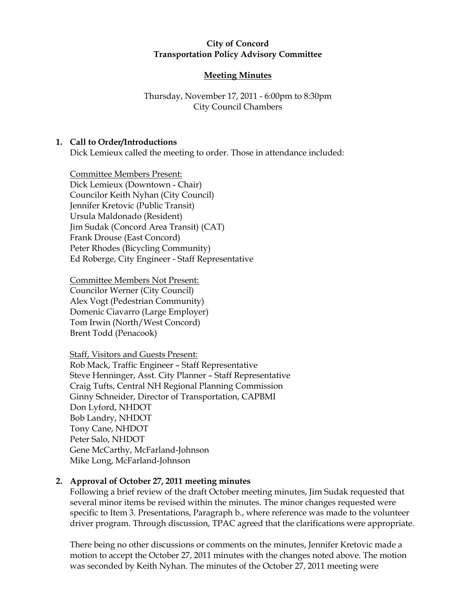### City of Concord Transportation Policy Advisory Committee

# Meeting Minutes

# Thursday, November 17, 2011 - 6:00pm to 8:30pm City Council Chambers

## 1. Call to Order/Introductions

Dick Lemieux called the meeting to order. Those in attendance included:

Committee Members Present: Dick Lemieux (Downtown - Chair) Councilor Keith Nyhan (City Council) Jennifer Kretovic (Public Transit) Ursula Maldonado (Resident) Jim Sudak (Concord Area Transit) (CAT) Frank Drouse (East Concord) Peter Rhodes (Bicycling Community) Ed Roberge, City Engineer - Staff Representative

Committee Members Not Present: Councilor Werner (City Council) Alex Vogt (Pedestrian Community) Domenic Ciavarro (Large Employer) Tom Irwin (North/West Concord) Brent Todd (Penacook)

#### Staff, Visitors and Guests Present:

Rob Mack, Traffic Engineer – Staff Representative Steve Henninger, Asst. City Planner – Staff Representative Craig Tufts, Central NH Regional Planning Commission Ginny Schneider, Director of Transportation, CAPBMI Don Lyford, NHDOT Bob Landry, NHDOT Tony Cane, NHDOT Peter Salo, NHDOT Gene McCarthy, McFarland-Johnson Mike Long, McFarland-Johnson

## 2. Approval of October 27, 2011 meeting minutes

Following a brief review of the draft October meeting minutes, Jim Sudak requested that several minor items be revised within the minutes. The minor changes requested were specific to Item 3. Presentations, Paragraph b., where reference was made to the volunteer driver program. Through discussion, TPAC agreed that the clarifications were appropriate.

There being no other discussions or comments on the minutes, Jennifer Kretovic made a motion to accept the October 27, 2011 minutes with the changes noted above. The motion was seconded by Keith Nyhan. The minutes of the October 27, 2011 meeting were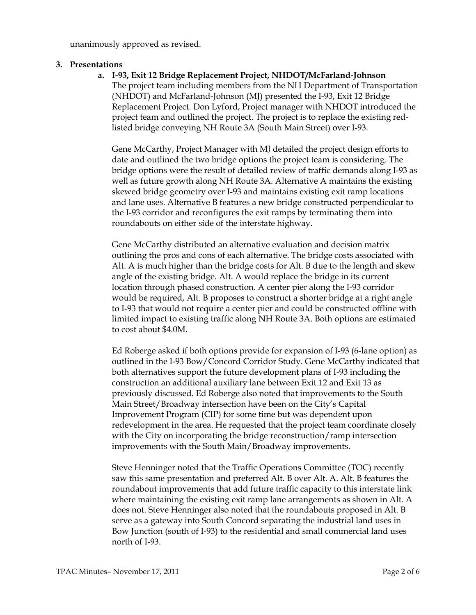unanimously approved as revised.

### 3. Presentations

a. I-93, Exit 12 Bridge Replacement Project, NHDOT/McFarland-Johnson The project team including members from the NH Department of Transportation (NHDOT) and McFarland-Johnson (MJ) presented the I-93, Exit 12 Bridge

Replacement Project. Don Lyford, Project manager with NHDOT introduced the project team and outlined the project. The project is to replace the existing redlisted bridge conveying NH Route 3A (South Main Street) over I-93.

Gene McCarthy, Project Manager with MJ detailed the project design efforts to date and outlined the two bridge options the project team is considering. The bridge options were the result of detailed review of traffic demands along I-93 as well as future growth along NH Route 3A. Alternative A maintains the existing skewed bridge geometry over I-93 and maintains existing exit ramp locations and lane uses. Alternative B features a new bridge constructed perpendicular to the I-93 corridor and reconfigures the exit ramps by terminating them into roundabouts on either side of the interstate highway.

Gene McCarthy distributed an alternative evaluation and decision matrix outlining the pros and cons of each alternative. The bridge costs associated with Alt. A is much higher than the bridge costs for Alt. B due to the length and skew angle of the existing bridge. Alt. A would replace the bridge in its current location through phased construction. A center pier along the I-93 corridor would be required, Alt. B proposes to construct a shorter bridge at a right angle to I-93 that would not require a center pier and could be constructed offline with limited impact to existing traffic along NH Route 3A. Both options are estimated to cost about \$4.0M.

Ed Roberge asked if both options provide for expansion of I-93 (6-lane option) as outlined in the I-93 Bow/Concord Corridor Study. Gene McCarthy indicated that both alternatives support the future development plans of I-93 including the construction an additional auxiliary lane between Exit 12 and Exit 13 as previously discussed. Ed Roberge also noted that improvements to the South Main Street/Broadway intersection have been on the City's Capital Improvement Program (CIP) for some time but was dependent upon redevelopment in the area. He requested that the project team coordinate closely with the City on incorporating the bridge reconstruction/ramp intersection improvements with the South Main/Broadway improvements.

Steve Henninger noted that the Traffic Operations Committee (TOC) recently saw this same presentation and preferred Alt. B over Alt. A. Alt. B features the roundabout improvements that add future traffic capacity to this interstate link where maintaining the existing exit ramp lane arrangements as shown in Alt. A does not. Steve Henninger also noted that the roundabouts proposed in Alt. B serve as a gateway into South Concord separating the industrial land uses in Bow Junction (south of I-93) to the residential and small commercial land uses north of I-93.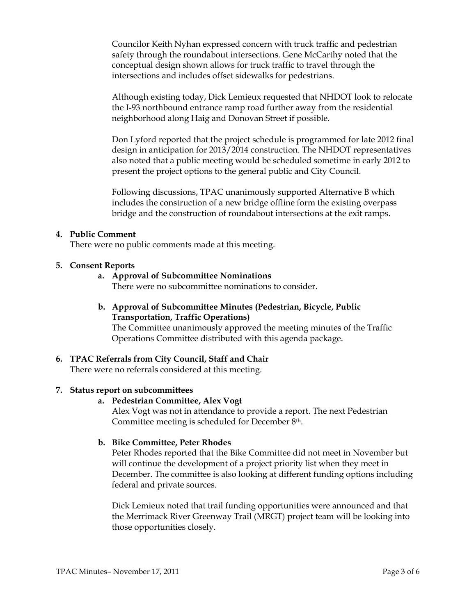Councilor Keith Nyhan expressed concern with truck traffic and pedestrian safety through the roundabout intersections. Gene McCarthy noted that the conceptual design shown allows for truck traffic to travel through the intersections and includes offset sidewalks for pedestrians.

Although existing today, Dick Lemieux requested that NHDOT look to relocate the I-93 northbound entrance ramp road further away from the residential neighborhood along Haig and Donovan Street if possible.

Don Lyford reported that the project schedule is programmed for late 2012 final design in anticipation for 2013/2014 construction. The NHDOT representatives also noted that a public meeting would be scheduled sometime in early 2012 to present the project options to the general public and City Council.

Following discussions, TPAC unanimously supported Alternative B which includes the construction of a new bridge offline form the existing overpass bridge and the construction of roundabout intersections at the exit ramps.

#### 4. Public Comment

There were no public comments made at this meeting.

### 5. Consent Reports

a. Approval of Subcommittee Nominations

There were no subcommittee nominations to consider.

b. Approval of Subcommittee Minutes (Pedestrian, Bicycle, Public Transportation, Traffic Operations)

The Committee unanimously approved the meeting minutes of the Traffic Operations Committee distributed with this agenda package.

## 6. TPAC Referrals from City Council, Staff and Chair

There were no referrals considered at this meeting.

#### 7. Status report on subcommittees

#### a. Pedestrian Committee, Alex Vogt

Alex Vogt was not in attendance to provide a report. The next Pedestrian Committee meeting is scheduled for December 8th.

#### b. Bike Committee, Peter Rhodes

Peter Rhodes reported that the Bike Committee did not meet in November but will continue the development of a project priority list when they meet in December. The committee is also looking at different funding options including federal and private sources.

Dick Lemieux noted that trail funding opportunities were announced and that the Merrimack River Greenway Trail (MRGT) project team will be looking into those opportunities closely.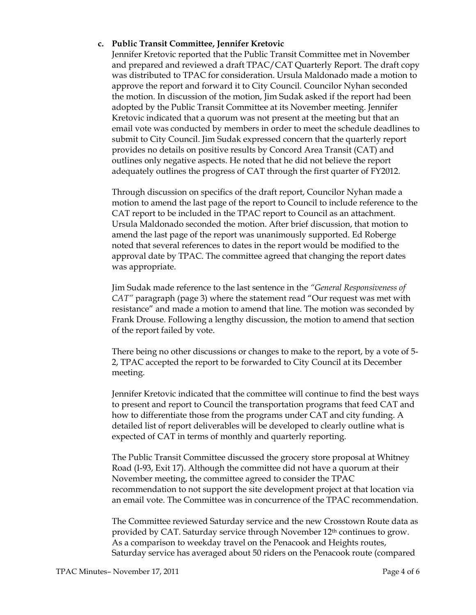### c. Public Transit Committee, Jennifer Kretovic

Jennifer Kretovic reported that the Public Transit Committee met in November and prepared and reviewed a draft TPAC/CAT Quarterly Report. The draft copy was distributed to TPAC for consideration. Ursula Maldonado made a motion to approve the report and forward it to City Council. Councilor Nyhan seconded the motion. In discussion of the motion, Jim Sudak asked if the report had been adopted by the Public Transit Committee at its November meeting. Jennifer Kretovic indicated that a quorum was not present at the meeting but that an email vote was conducted by members in order to meet the schedule deadlines to submit to City Council. Jim Sudak expressed concern that the quarterly report provides no details on positive results by Concord Area Transit (CAT) and outlines only negative aspects. He noted that he did not believe the report adequately outlines the progress of CAT through the first quarter of FY2012.

Through discussion on specifics of the draft report, Councilor Nyhan made a motion to amend the last page of the report to Council to include reference to the CAT report to be included in the TPAC report to Council as an attachment. Ursula Maldonado seconded the motion. After brief discussion, that motion to amend the last page of the report was unanimously supported. Ed Roberge noted that several references to dates in the report would be modified to the approval date by TPAC. The committee agreed that changing the report dates was appropriate.

Jim Sudak made reference to the last sentence in the "General Responsiveness of CAT" paragraph (page 3) where the statement read "Our request was met with resistance" and made a motion to amend that line. The motion was seconded by Frank Drouse. Following a lengthy discussion, the motion to amend that section of the report failed by vote.

There being no other discussions or changes to make to the report, by a vote of 5- 2, TPAC accepted the report to be forwarded to City Council at its December meeting.

Jennifer Kretovic indicated that the committee will continue to find the best ways to present and report to Council the transportation programs that feed CAT and how to differentiate those from the programs under CAT and city funding. A detailed list of report deliverables will be developed to clearly outline what is expected of CAT in terms of monthly and quarterly reporting.

The Public Transit Committee discussed the grocery store proposal at Whitney Road (I-93, Exit 17). Although the committee did not have a quorum at their November meeting, the committee agreed to consider the TPAC recommendation to not support the site development project at that location via an email vote. The Committee was in concurrence of the TPAC recommendation.

The Committee reviewed Saturday service and the new Crosstown Route data as provided by CAT. Saturday service through November 12th continues to grow. As a comparison to weekday travel on the Penacook and Heights routes, Saturday service has averaged about 50 riders on the Penacook route (compared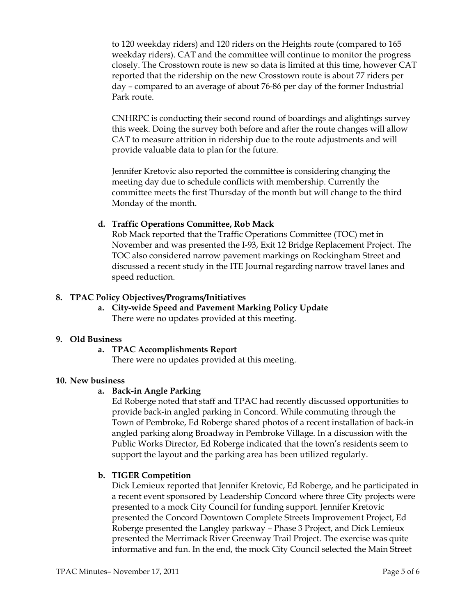to 120 weekday riders) and 120 riders on the Heights route (compared to 165 weekday riders). CAT and the committee will continue to monitor the progress closely. The Crosstown route is new so data is limited at this time, however CAT reported that the ridership on the new Crosstown route is about 77 riders per day – compared to an average of about 76-86 per day of the former Industrial Park route.

CNHRPC is conducting their second round of boardings and alightings survey this week. Doing the survey both before and after the route changes will allow CAT to measure attrition in ridership due to the route adjustments and will provide valuable data to plan for the future.

Jennifer Kretovic also reported the committee is considering changing the meeting day due to schedule conflicts with membership. Currently the committee meets the first Thursday of the month but will change to the third Monday of the month.

## d. Traffic Operations Committee, Rob Mack

Rob Mack reported that the Traffic Operations Committee (TOC) met in November and was presented the I-93, Exit 12 Bridge Replacement Project. The TOC also considered narrow pavement markings on Rockingham Street and discussed a recent study in the ITE Journal regarding narrow travel lanes and speed reduction.

### 8. TPAC Policy Objectives/Programs/Initiatives

a. City-wide Speed and Pavement Marking Policy Update There were no updates provided at this meeting.

#### 9. Old Business

## a. TPAC Accomplishments Report

There were no updates provided at this meeting.

#### 10. New business

#### a. Back-in Angle Parking

Ed Roberge noted that staff and TPAC had recently discussed opportunities to provide back-in angled parking in Concord. While commuting through the Town of Pembroke, Ed Roberge shared photos of a recent installation of back-in angled parking along Broadway in Pembroke Village. In a discussion with the Public Works Director, Ed Roberge indicated that the town's residents seem to support the layout and the parking area has been utilized regularly.

## b. TIGER Competition

Dick Lemieux reported that Jennifer Kretovic, Ed Roberge, and he participated in a recent event sponsored by Leadership Concord where three City projects were presented to a mock City Council for funding support. Jennifer Kretovic presented the Concord Downtown Complete Streets Improvement Project, Ed Roberge presented the Langley parkway – Phase 3 Project, and Dick Lemieux presented the Merrimack River Greenway Trail Project. The exercise was quite informative and fun. In the end, the mock City Council selected the Main Street